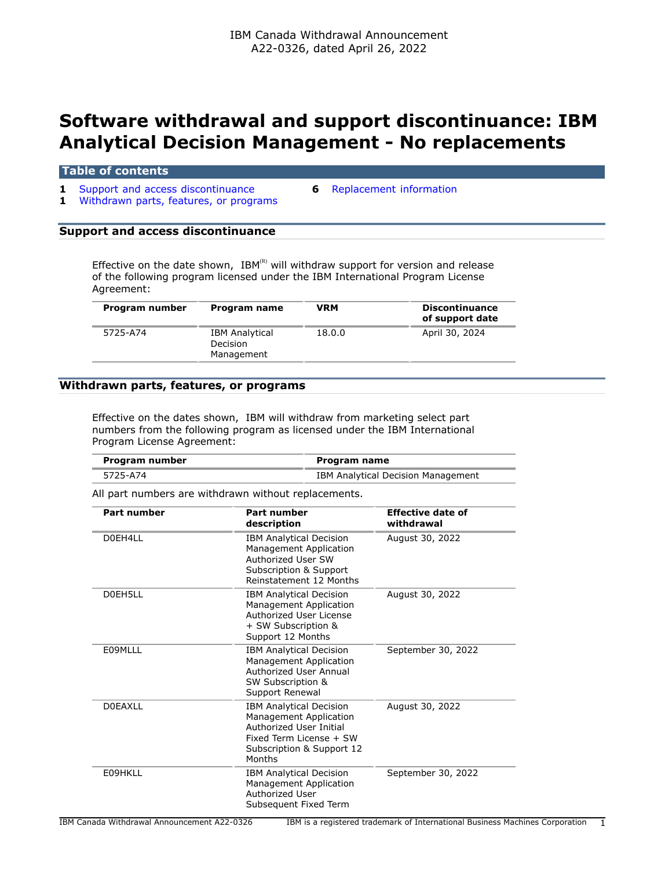# **Software withdrawal and support discontinuance: IBM Analytical Decision Management - No replacements**

#### **Table of contents**

- **1** [Support and access discontinuance](#page-0-0) **6** [Replacement information](#page-5-0)
	-
- **1** [Withdrawn parts, features, or programs](#page-0-1)

# <span id="page-0-0"></span>**Support and access discontinuance**

Effective on the date shown, IBM(R) will withdraw support for version and release of the following program licensed under the IBM International Program License Agreement:

| Program number | Program name                                    | VRM    | <b>Discontinuance</b><br>of support date |
|----------------|-------------------------------------------------|--------|------------------------------------------|
| 5725-A74       | <b>IBM Analytical</b><br>Decision<br>Management | 18.0.0 | April 30, 2024                           |

#### <span id="page-0-1"></span>**Withdrawn parts, features, or programs**

Effective on the dates shown, IBM will withdraw from marketing select part numbers from the following program as licensed under the IBM International Program License Agreement:

| Program number | Program name                       |
|----------------|------------------------------------|
| 5725-A74       | IBM Analytical Decision Management |

All part numbers are withdrawn without replacements.

| Part number    | Part number<br>description                                                                                                                            | <b>Effective date of</b><br>withdrawal |
|----------------|-------------------------------------------------------------------------------------------------------------------------------------------------------|----------------------------------------|
| D0FH411        | <b>IBM Analytical Decision</b><br>Management Application<br>Authorized User SW<br>Subscription & Support<br>Reinstatement 12 Months                   | August 30, 2022                        |
| DOFH5LL        | <b>IBM Analytical Decision</b><br>Management Application<br>Authorized User License<br>+ SW Subscription &<br>Support 12 Months                       | August 30, 2022                        |
| E09MLLL        | <b>IBM Analytical Decision</b><br>Management Application<br>Authorized User Annual<br>SW Subscription &<br>Support Renewal                            | September 30, 2022                     |
| <b>DOEAXLL</b> | <b>IBM Analytical Decision</b><br>Management Application<br>Authorized User Initial<br>Fixed Term License + SW<br>Subscription & Support 12<br>Months | August 30, 2022                        |
| E09HKLL        | <b>IBM Analytical Decision</b><br>Management Application<br>Authorized User<br>Subsequent Fixed Term                                                  | September 30, 2022                     |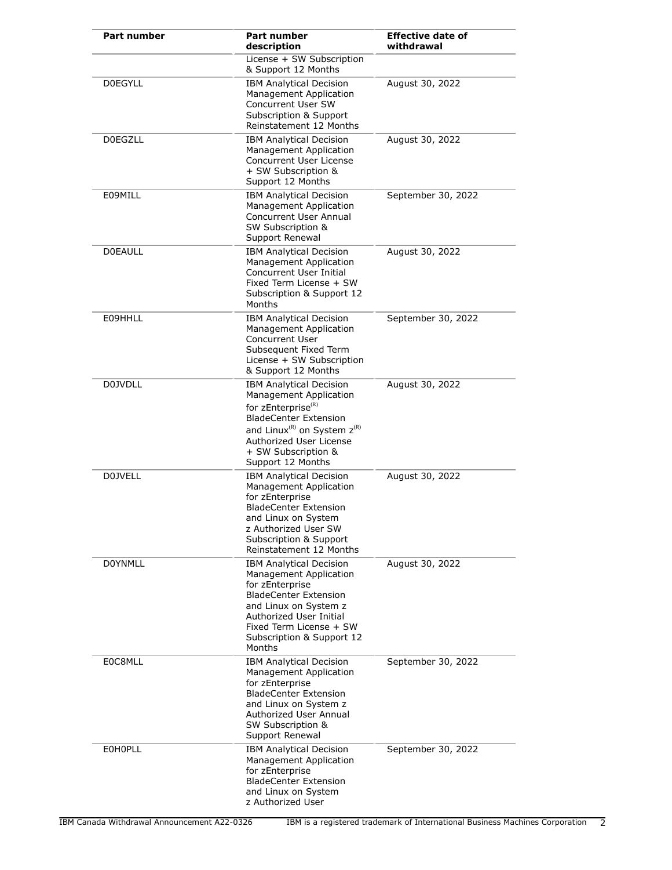| <b>Part number</b> | <b>Part number</b><br>description                                                                                                                                                                                                                        | <b>Effective date of</b><br>withdrawal |
|--------------------|----------------------------------------------------------------------------------------------------------------------------------------------------------------------------------------------------------------------------------------------------------|----------------------------------------|
|                    | License + SW Subscription<br>& Support 12 Months                                                                                                                                                                                                         |                                        |
| <b>DOEGYLL</b>     | <b>IBM Analytical Decision</b><br>Management Application<br>Concurrent User SW<br>Subscription & Support<br>Reinstatement 12 Months                                                                                                                      | August 30, 2022                        |
| <b>DOEGZLL</b>     | <b>IBM Analytical Decision</b><br>Management Application<br>Concurrent User License<br>+ SW Subscription &<br>Support 12 Months                                                                                                                          | August 30, 2022                        |
| E09MILL            | <b>IBM Analytical Decision</b><br>Management Application<br>Concurrent User Annual<br>SW Subscription &<br>Support Renewal                                                                                                                               | September 30, 2022                     |
| <b>DOEAULL</b>     | <b>IBM Analytical Decision</b><br>Management Application<br>Concurrent User Initial<br>Fixed Term License + SW<br>Subscription & Support 12<br>Months                                                                                                    | August 30, 2022                        |
| E09HHLL            | <b>IBM Analytical Decision</b><br>Management Application<br><b>Concurrent User</b><br>Subsequent Fixed Term<br>License + SW Subscription<br>& Support 12 Months                                                                                          | September 30, 2022                     |
| D0JVDLL            | <b>IBM Analytical Decision</b><br>Management Application<br>for zEnterprise <sup>(R)</sup><br><b>BladeCenter Extension</b><br>and Linux <sup>(R)</sup> on System z <sup>(R)</sup><br>Authorized User License<br>+ SW Subscription &<br>Support 12 Months | August 30, 2022                        |
| <b>D0JVELL</b>     | <b>IBM Analytical Decision</b><br>Management Application<br>for zEnterprise<br><b>BladeCenter Extension</b><br>and Linux on System<br>z Authorized User SW<br>Subscription & Support<br>Reinstatement 12 Months                                          | August 30, 2022                        |
| <b>DOYNMLL</b>     | <b>IBM Analytical Decision</b><br>Management Application<br>for zEnterprise<br><b>BladeCenter Extension</b><br>and Linux on System z<br>Authorized User Initial<br>Fixed Term License + SW<br>Subscription & Support 12<br>Months                        | August 30, 2022                        |
| E0C8MLL            | <b>IBM Analytical Decision</b><br>Management Application<br>for zEnterprise<br><b>BladeCenter Extension</b><br>and Linux on System z<br>Authorized User Annual<br>SW Subscription &<br>Support Renewal                                                   | September 30, 2022                     |
| <b>EOHOPLL</b>     | <b>IBM Analytical Decision</b><br><b>Management Application</b><br>for zEnterprise<br><b>BladeCenter Extension</b><br>and Linux on System<br>z Authorized User                                                                                           | September 30, 2022                     |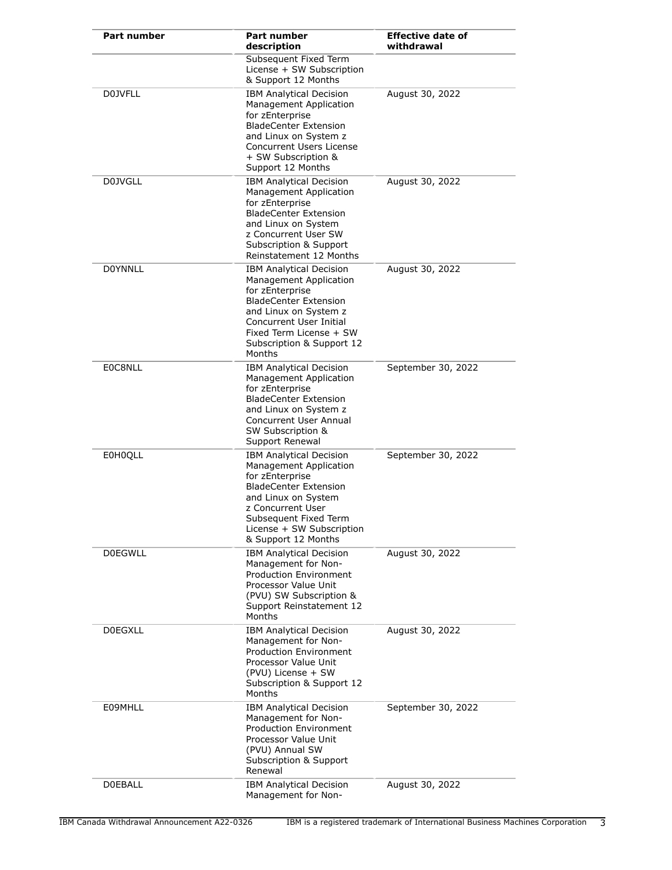| <b>Part number</b> | Part number<br>description                                                                                                                                                                                                           | <b>Effective date of</b><br>withdrawal |
|--------------------|--------------------------------------------------------------------------------------------------------------------------------------------------------------------------------------------------------------------------------------|----------------------------------------|
|                    | Subsequent Fixed Term<br>License + SW Subscription<br>& Support 12 Months                                                                                                                                                            |                                        |
| <b>DOJVFLL</b>     | <b>IBM Analytical Decision</b><br>Management Application<br>for zEnterprise<br><b>BladeCenter Extension</b><br>and Linux on System z<br>Concurrent Users License<br>+ SW Subscription &<br>Support 12 Months                         | August 30, 2022                        |
| <b>D0JVGLL</b>     | <b>IBM Analytical Decision</b><br>Management Application<br>for zEnterprise<br><b>BladeCenter Extension</b><br>and Linux on System<br>z Concurrent User SW<br>Subscription & Support<br>Reinstatement 12 Months                      | August 30, 2022                        |
| <b>DOYNNLL</b>     | <b>IBM Analytical Decision</b><br>Management Application<br>for zEnterprise<br><b>BladeCenter Extension</b><br>and Linux on System z<br>Concurrent User Initial<br>Fixed Term License + SW<br>Subscription & Support 12<br>Months    | August 30, 2022                        |
| E0C8NLL            | <b>IBM Analytical Decision</b><br>Management Application<br>for zEnterprise<br><b>BladeCenter Extension</b><br>and Linux on System z<br><b>Concurrent User Annual</b><br>SW Subscription &<br>Support Renewal                        | September 30, 2022                     |
| E0H0OLL            | <b>IBM Analytical Decision</b><br>Management Application<br>for zEnterprise<br><b>BladeCenter Extension</b><br>and Linux on System<br>z Concurrent User<br>Subsequent Fixed Term<br>License + SW Subscription<br>& Support 12 Months | September 30, 2022                     |
| <b>DOEGWLL</b>     | <b>IBM Analytical Decision</b><br>Management for Non-<br><b>Production Environment</b><br>Processor Value Unit<br>(PVU) SW Subscription &<br>Support Reinstatement 12<br>Months                                                      | August 30, 2022                        |
| <b>DOEGXLL</b>     | <b>IBM Analytical Decision</b><br>Management for Non-<br><b>Production Environment</b><br>Processor Value Unit<br>(PVU) License + SW<br>Subscription & Support 12<br>Months                                                          | August 30, 2022                        |
| E09MHLL            | <b>IBM Analytical Decision</b><br>Management for Non-<br><b>Production Environment</b><br>Processor Value Unit<br>(PVU) Annual SW<br>Subscription & Support<br>Renewal                                                               | September 30, 2022                     |
| <b>DOEBALL</b>     | <b>IBM Analytical Decision</b><br>Management for Non-                                                                                                                                                                                | August 30, 2022                        |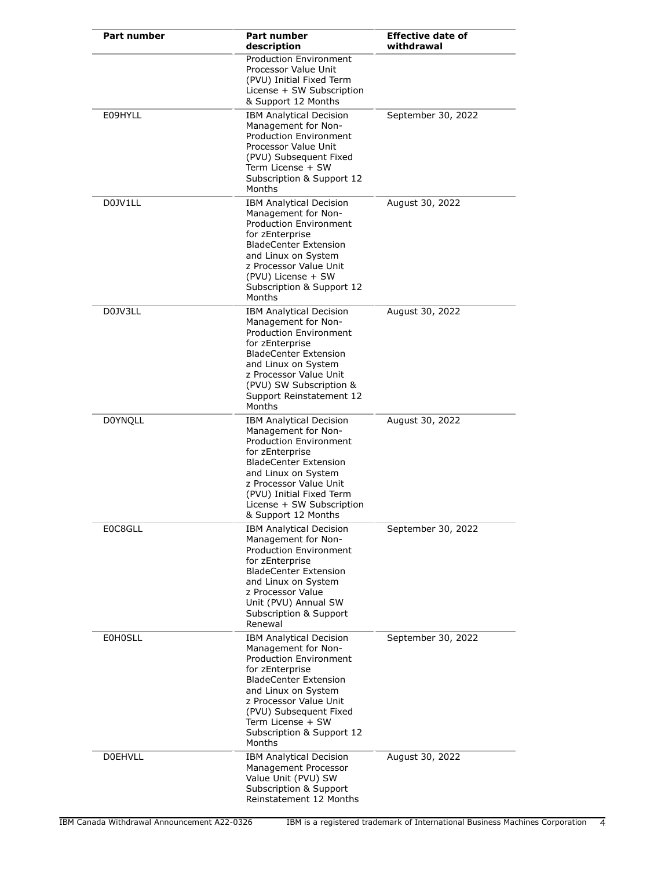| <b>Part number</b> | Part number<br>description                                                                                                                                                                                                                                                       | <b>Effective date of</b><br>withdrawal |
|--------------------|----------------------------------------------------------------------------------------------------------------------------------------------------------------------------------------------------------------------------------------------------------------------------------|----------------------------------------|
|                    | <b>Production Environment</b><br>Processor Value Unit<br>(PVU) Initial Fixed Term<br>License + SW Subscription<br>& Support 12 Months                                                                                                                                            |                                        |
| E09HYLL            | <b>IBM Analytical Decision</b><br>Management for Non-<br><b>Production Environment</b><br>Processor Value Unit<br>(PVU) Subsequent Fixed<br>Term License + SW<br>Subscription & Support 12<br>Months                                                                             | September 30, 2022                     |
| D0JV1LL            | <b>IBM Analytical Decision</b><br>Management for Non-<br>Production Environment<br>for zEnterprise<br><b>BladeCenter Extension</b><br>and Linux on System<br>z Processor Value Unit<br>(PVU) License + SW<br>Subscription & Support 12<br>Months                                 | August 30, 2022                        |
| D0JV3LL            | <b>IBM Analytical Decision</b><br>Management for Non-<br><b>Production Environment</b><br>for zEnterprise<br><b>BladeCenter Extension</b><br>and Linux on System<br>z Processor Value Unit<br>(PVU) SW Subscription &<br>Support Reinstatement 12<br>Months                      | August 30, 2022                        |
| <b>DOYNQLL</b>     | <b>IBM Analytical Decision</b><br>Management for Non-<br>Production Environment<br>for zEnterprise<br><b>BladeCenter Extension</b><br>and Linux on System<br>z Processor Value Unit<br>(PVU) Initial Fixed Term<br>License + SW Subscription<br>& Support 12 Months              | August 30, 2022                        |
| E0C8GLL            | <b>IBM Analytical Decision</b><br>Management for Non-<br><b>Production Environment</b><br>for zEnterprise<br><b>BladeCenter Extension</b><br>and Linux on System<br>z Processor Value<br>Unit (PVU) Annual SW<br>Subscription & Support<br>Renewal                               | September 30, 2022                     |
| <b>E0H0SLL</b>     | <b>IBM Analytical Decision</b><br>Management for Non-<br><b>Production Environment</b><br>for zEnterprise<br><b>BladeCenter Extension</b><br>and Linux on System<br>z Processor Value Unit<br>(PVU) Subsequent Fixed<br>Term License + SW<br>Subscription & Support 12<br>Months | September 30, 2022                     |
| <b>DOEHVLL</b>     | <b>IBM Analytical Decision</b><br>Management Processor<br>Value Unit (PVU) SW<br>Subscription & Support<br>Reinstatement 12 Months                                                                                                                                               | August 30, 2022                        |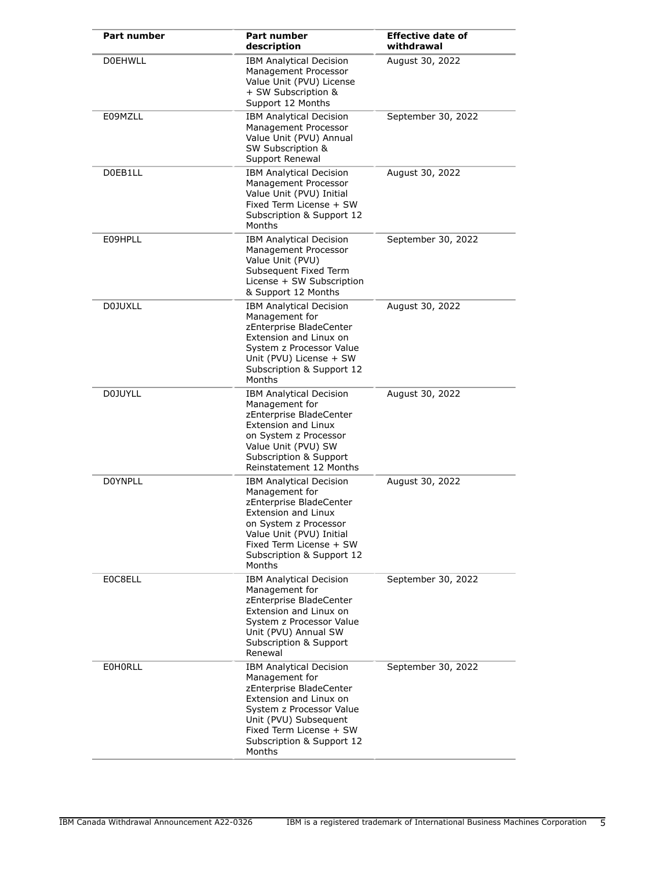| <b>Part number</b> | <b>Part number</b><br>description                                                                                                                                                                                                | <b>Effective date of</b><br>withdrawal |
|--------------------|----------------------------------------------------------------------------------------------------------------------------------------------------------------------------------------------------------------------------------|----------------------------------------|
| <b>DOEHWLL</b>     | <b>IBM Analytical Decision</b><br>Management Processor<br>Value Unit (PVU) License<br>+ SW Subscription &<br>Support 12 Months                                                                                                   | August 30, 2022                        |
| E09MZLL            | <b>IBM Analytical Decision</b><br>Management Processor<br>Value Unit (PVU) Annual<br>SW Subscription &<br>Support Renewal                                                                                                        | September 30, 2022                     |
| D0EB1LL            | <b>IBM Analytical Decision</b><br>Management Processor<br>Value Unit (PVU) Initial<br>Fixed Term License + SW<br>Subscription & Support 12<br>Months                                                                             | August 30, 2022                        |
| E09HPLL            | <b>IBM Analytical Decision</b><br>Management Processor<br>Value Unit (PVU)<br>Subsequent Fixed Term<br>License + SW Subscription<br>& Support 12 Months                                                                          | September 30, 2022                     |
| <b>D0JUXLL</b>     | <b>IBM Analytical Decision</b><br>Management for<br>zEnterprise BladeCenter<br>Extension and Linux on<br>System z Processor Value<br>Unit (PVU) License + SW<br>Subscription & Support 12<br>Months                              | August 30, 2022                        |
| <b>D0JUYLL</b>     | <b>IBM Analytical Decision</b><br>Management for<br>zEnterprise BladeCenter<br>Extension and Linux<br>on System z Processor<br>Value Unit (PVU) SW<br><b>Subscription &amp; Support</b><br>Reinstatement 12 Months               | August 30, 2022                        |
| <b>DOYNPLL</b>     | <b>IBM Analytical Decision</b><br>Management for<br>zEnterprise BladeCenter<br><b>Extension and Linux</b><br>on System z Processor<br>Value Unit (PVU) Initial<br>Fixed Term License + SW<br>Subscription & Support 12<br>Months | August 30, 2022                        |
| E0C8ELL            | <b>IBM Analytical Decision</b><br>Management for<br>zEnterprise BladeCenter<br>Extension and Linux on<br>System z Processor Value<br>Unit (PVU) Annual SW<br>Subscription & Support<br>Renewal                                   | September 30, 2022                     |
| <b>EOHORLL</b>     | <b>IBM Analytical Decision</b><br>Management for<br>zEnterprise BladeCenter<br>Extension and Linux on<br>System z Processor Value<br>Unit (PVU) Subsequent<br>Fixed Term License + SW<br>Subscription & Support 12<br>Months     | September 30, 2022                     |